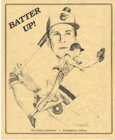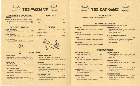



# **ADRENALINE BOOSTERS**

| $\mathbf{119}$ |  |  |
|----------------|--|--|
|                |  |  |

| Orange, Tomato, V-8, Grapefruit, Apple |
|----------------------------------------|
|                                        |
|                                        |

# **OPENING PITCHES**

| <b>BALL OUTSIDE</b> |
|---------------------|
|                     |

|--|--|--|--|--|--|

# **BALL INSIDE**

#### **CURVE BALL** Honeydew Melon Balls ................ 1.79



#### **GRAND SLAM**

Two Dollar Pancakes, One Egg, One Slice Toast, Two Strips of Bacon..2.49

#### **HOME RUN**

Two Eggs, Hashbrowns, Bacon, Toast and Jelly...............................3.25

## 1-2-3 YOU'RE OUT

One Egg. Two Slices of Toast. Three Link Sausages ......................2.99

## **LINE DRIVE**

Two Eggs, Grilled Ham, German Fries, Toast and Jelly .....................3.75

# **BUNTS**

**TIME-OUT** 

ffectet

| $Hot Biscuits$ $1.25$ |  |
|-----------------------|--|



# **FIRST BASE**

**OUT OF THE PARK** Steak, Two Eggs, German Fries, 

# **ON BASE**

Two Pancakes, Four Strips of Bacon .2.99

## **HIGH AND AWAY**

Three Buttermilk Pancakes .........2.39 Served with whipped butter and maple syrup

# **ARTIFICIAL TURF**

Served with honey butter or apple butter, maple syrup and powdered sugar



# **PLAY BALL!**

# **ROUND THE BASES**

Served with lettuce, tomato, pickle and choice of potato salad, slaw, fries or chips

| <b>ASE HIT</b> |  |
|----------------|--|
|                |  |

**DOUBLE** Double Cheeseburger..................3.99

# **TRIPLE** Cheeseburger with two selections...3.50

**HOME RUN** Bacon Cheeseburger ....................3.25

# **BASES LOADED**

Bacon Cheeseburger .....................3.50 With Swiss and American cheese, lettuce, tomato, pickle & onion

# "ALL AMERICAN" LEAGUE

| Half pound burger on toasted french roll with |
|-----------------------------------------------|
| lettuce, tomato, mushrooms, cheese, bacon,    |
| onion & sprouts                               |

# **THE OUTFIELD**

# **EXTRA INNINGS**

Club Sandwich.................................. 4.50 Served with choice of potato salad, slaw, french fries or chips

# **DOUBLE HEADER**

Shrimp and Fries in a Basket......3.99

# **PINCH HITTER**

Tenderloin Sandwich....................3.59 Breaded or grilled, served with choice of potato salad, slaw or fries

# **CATCHER'S MITT**

Breast of Chicken Sandwich........3.69 Grilled or breaded, served with choice of potato salad, slaw or fries

**FIELDER'S CHOICE** Soup and Salad Bar ..................... 4.25

IN THE MITT Hot Dog in a Bun with Mustard...1.50

# **UMPIRE'S CALL**

т

Lots of carrots!

# **STRIKE OUT**

Grilled Cheese Sandwich ..............2.39 With pickles and chips

# **SPRING TRAINING**

Served with cottage cheese or sherbert